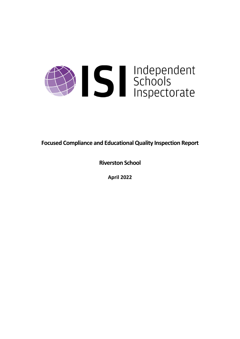

**Focused Compliance and EducationalQuality Inspection Report**

**Riverston School**

**April 2022**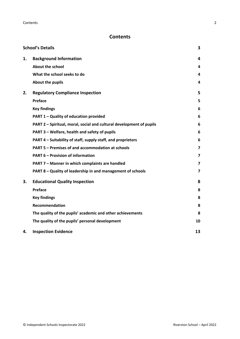# **Contents**

|    | <b>School's Details</b>                                              | 3                       |
|----|----------------------------------------------------------------------|-------------------------|
| 1. | <b>Background Information</b>                                        | 4                       |
|    | <b>About the school</b>                                              | 4                       |
|    | What the school seeks to do                                          | 4                       |
|    | About the pupils                                                     | 4                       |
| 2. | <b>Regulatory Compliance Inspection</b>                              | 5                       |
|    | Preface                                                              | 5                       |
|    | <b>Key findings</b>                                                  | 6                       |
|    | PART 1 - Quality of education provided                               | 6                       |
|    | PART 2 - Spiritual, moral, social and cultural development of pupils | 6                       |
|    | PART 3 - Welfare, health and safety of pupils                        | 6                       |
|    | PART 4 – Suitability of staff, supply staff, and proprietors         | 6                       |
|    | PART 5 - Premises of and accommodation at schools                    | 7                       |
|    | <b>PART 6 - Provision of information</b>                             | 7                       |
|    | PART 7 - Manner in which complaints are handled                      | 7                       |
|    | PART 8 - Quality of leadership in and management of schools          | $\overline{\mathbf{z}}$ |
| 3. | <b>Educational Quality Inspection</b>                                | 8                       |
|    | Preface                                                              | 8                       |
|    | <b>Key findings</b>                                                  | 8                       |
|    | <b>Recommendation</b>                                                | 8                       |
|    | The quality of the pupils' academic and other achievements           | 8                       |
|    | The quality of the pupils' personal development                      | 10                      |
| 4. | <b>Inspection Evidence</b>                                           | 13                      |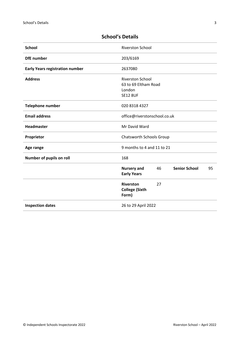| <b>School</b>                          | <b>Riverston School</b>                                                      |  |
|----------------------------------------|------------------------------------------------------------------------------|--|
| <b>DfE</b> number                      | 203/6169                                                                     |  |
| <b>Early Years registration number</b> | 2637080                                                                      |  |
| <b>Address</b>                         | <b>Riverston School</b><br>63 to 69 Eltham Road<br>London<br><b>SE12 8UF</b> |  |
|                                        | 020 8318 4327                                                                |  |
| <b>Telephone number</b>                |                                                                              |  |
| <b>Email address</b>                   | office@riverstonschool.co.uk                                                 |  |
| <b>Headmaster</b>                      | Mr David Ward                                                                |  |
| Proprietor                             | Chatsworth Schools Group                                                     |  |
| Age range                              | 9 months to 4 and 11 to 21                                                   |  |
| Number of pupils on roll               | 168                                                                          |  |
|                                        | <b>Senior School</b><br><b>Nursery and</b><br>46<br>95<br><b>Early Years</b> |  |
|                                        | <b>Riverston</b><br>27<br><b>College (Sixth</b><br>Form)                     |  |
| <b>Inspection dates</b>                | 26 to 29 April 2022                                                          |  |

# <span id="page-2-0"></span>**School's Details**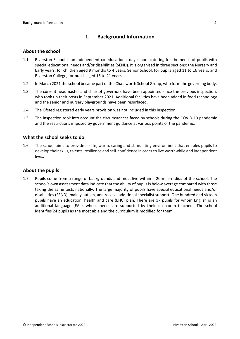## <span id="page-3-0"></span>**1. Background Information**

#### <span id="page-3-1"></span>**About the school**

- 1.1 Riverston School is an independent co-educational day school catering for the needs of pupils with special educational needs and/or disabilities (SEND). It is organised in three sections: the Nursery and Early years, for children aged 9 months to 4 years, Senior School, for pupils aged 11 to 16 years, and Riverston College, for pupils aged 16 to 21 years.
- 1.2 In March 2021 the school became part of the Chatsworth School Group, who form the governing body.
- 1.3 The current headmaster and chair of governors have been appointed since the previous inspection, who took up their posts in September 2021. Additional facilities have been added in food technology and the senior and nursery playgrounds have been resurfaced.
- 1.4 The Ofsted registered early years provision was not included in this inspection.
- 1.5 The inspection took into account the circumstances faced by schools during the COVID-19 pandemic and the restrictions imposed by government guidance at various points of the pandemic.

#### <span id="page-3-2"></span>**What the school seeks to do**

1.6 The school aims to provide a safe, warm, caring and stimulating environment that enables pupils to develop their skills, talents, resilience and self-confidence in order to live worthwhile and independent lives.

#### <span id="page-3-3"></span>**About the pupils**

1.7 Pupils come from a range of backgrounds and most live within a 20-mile radius of the school. The school's own assessment data indicate that the ability of pupils is below average compared with those taking the same tests nationally. The large majority of pupils have special educational needs and/or disabilities (SEND), mainly autism, and receive additional specialist support. One hundred and sixteen pupils have an education, health and care (EHC) plan. There are 17 pupils for whom English is an additional language (EAL), whose needs are supported by their classroom teachers. The school identifies 24 pupils as the most able and the curriculum is modified for them.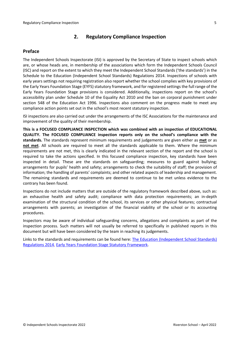## <span id="page-4-0"></span>**2. Regulatory Compliance Inspection**

## <span id="page-4-1"></span>**Preface**

The Independent Schools Inspectorate (ISI) is approved by the Secretary of State to inspect schools which are, or whose heads are, in membership of the associations which form the Independent Schools Council (ISC) and report on the extent to which they meet the Independent School Standards ('the standards') in the Schedule to the Education (Independent School Standards) Regulations 2014. Inspections of schools with early years settings not requiring registration also report whether the school complies with key provisions of the Early Years Foundation Stage (EYFS) statutory framework, and for registered settings the full range of the Early Years Foundation Stage provisions is considered. Additionally, inspections report on the school's accessibility plan under Schedule 10 of the Equality Act 2010 and the ban on corporal punishment under section 548 of the Education Act 1996. Inspections also comment on the progress made to meet any compliance action points set out in the school's most recent statutory inspection.

ISI inspections are also carried out under the arrangements of the ISC Associations for the maintenance and improvement of the quality of their membership.

**This is a FOCUSED COMPLIANCE INSPECTION which was combined with an inspection of EDUCATIONAL QUALITY. The FOCUSED COMPLIANCE inspection reports only on the school's compliance with the standards.** The standards represent minimum requirements and judgements are given either as **met** or as **not met**. All schools are required to meet all the standards applicable to them. Where the minimum requirements are not met, this is clearly indicated in the relevant section of the report and the school is required to take the actions specified. In this focused compliance inspection, key standards have been inspected in detail. These are the standards on safeguarding; measures to guard against bullying; arrangements for pupils' health and safety; arrangements to check the suitability of staff; the provision of information; the handling of parents' complaints; and other related aspects of leadership and management. The remaining standards and requirements are deemed to continue to be met unless evidence to the contrary has been found.

Inspections do not include matters that are outside of the regulatory framework described above, such as: an exhaustive health and safety audit; compliance with data protection requirements; an in-depth examination of the structural condition of the school, its services or other physical features; contractual arrangements with parents; an investigation of the financial viability of the school or its accounting procedures.

Inspectors may be aware of individual safeguarding concerns, allegations and complaints as part of the inspection process. Such matters will not usually be referred to specifically in published reports in this document but will have been considered by the team in reaching its judgements.

Links to the standards and requirements can be found here: The Education [\(Independent](http://www.legislation.gov.uk/uksi/2014/3283/contents/made) School Standards) [Regulations](http://www.legislation.gov.uk/uksi/2014/3283/contents/made) 2014, Early Years Foundation Stage Statutory [Framework.](https://www.gov.uk/government/publications/early-years-foundation-stage-framework--2)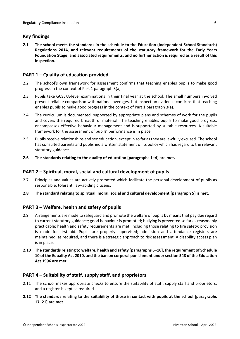## <span id="page-5-0"></span>**Key findings**

**2.1 The school meets the standards in the schedule to the Education (Independent School Standards) Regulations 2014, and relevant requirements of the statutory framework for the Early Years Foundation Stage, and associated requirements, and no further action is required as a result of this inspection.**

## <span id="page-5-1"></span>**PART 1 – Quality of education provided**

- 2.2 The school's own framework for assessment confirms that teaching enables pupils to make good progress in the context of Part 1 paragraph 3(a).
- 2.3 Pupils take GCSE/A-level examinations in their final year at the school. The small numbers involved prevent reliable comparison with national averages, but inspection evidence confirms that teaching enables pupils to make good progress in the context of Part 1 paragraph 3(a).
- 2.4 The curriculum is documented, supported by appropriate plans and schemes of work for the pupils and covers the required breadth of material. The teaching enables pupils to make good progress, encompasses effective behaviour management and is supported by suitable resources. A suitable framework for the assessment of pupils' performance is in place.
- 2.5 Pupilsreceive relationships and sex education, except in so far asthey are lawfully excused. The school has consulted parents and published a written statement of its policy which has regard to the relevant statutory guidance.
- **2.6 The standards relating to the quality of education [paragraphs 1–4] are met.**

## <span id="page-5-2"></span>**PART 2 – Spiritual, moral, social and cultural development of pupils**

- 2.7 Principles and values are actively promoted which facilitate the personal development of pupils as responsible, tolerant, law-abiding citizens.
- **2.8 The standard relating to spiritual, moral, social and cultural development [paragraph 5] is met.**

## <span id="page-5-3"></span>**PART 3 – Welfare, health and safety of pupils**

- 2.9 Arrangements are made to safeguard and promote the welfare of pupils by meansthat pay due regard to current statutory guidance; good behaviour is promoted; bullying is prevented so far as reasonably practicable; health and safety requirements are met, including those relating to fire safety; provision is made for first aid. Pupils are properly supervised; admission and attendance registers are maintained, as required, and there is a strategic approach to risk assessment. A disability access plan is in place.
- **2.10 The standardsrelating to welfare, health and safety [paragraphs 6–16], the requirement of Schedule 10 of the Equality Act 2010, and the ban on corporal punishment undersection 548 of the Education Act 1996 are met.**

## <span id="page-5-4"></span>**PART 4 – Suitability of staff, supply staff, and proprietors**

- 2.11 The school makes appropriate checks to ensure the suitability of staff, supply staff and proprietors, and a register is kept as required.
- **2.12 The standards relating to the suitability of those in contact with pupils at the school [paragraphs 17–21] are met.**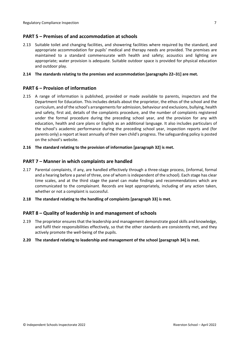## <span id="page-6-0"></span>**PART 5 – Premises of and accommodation at schools**

2.13 Suitable toilet and changing facilities, and showering facilities where required by the standard, and appropriate accommodation for pupils' medical and therapy needs are provided. The premises are maintained to a standard commensurate with health and safety; acoustics and lighting are appropriate; water provision is adequate. Suitable outdoor space is provided for physical education and outdoor play.

#### **2.14 The standards relating to the premises and accommodation [paragraphs 22–31] are met.**

## <span id="page-6-1"></span>**PART 6 – Provision of information**

- 2.15 A range of information is published, provided or made available to parents, inspectors and the Department for Education. This includes details about the proprietor, the ethos of the school and the curriculum, and of the school's arrangementsfor admission, behaviour and exclusions, bullying, health and safety, first aid, details of the complaints procedure, and the number of complaints registered under the formal procedure during the preceding school year, and the provision for any with education, health and care plans or English as an additional language. It also includes particulars of the school's academic performance during the preceding school year, inspection reports and (for parents only) a report at least annually of their own child's progress. The safeguarding policy is posted on the school's website.
- **2.16 The standard relating to the provision of information [paragraph 32] is met.**

#### <span id="page-6-2"></span>**PART 7 – Manner in which complaints are handled**

- 2.17 Parental complaints, if any, are handled effectively through a three-stage process, (informal, formal and a hearing before a panel of three, one of whom is independent of the school). Each stage has clear time scales, and at the third stage the panel can make findings and recommendations which are communicated to the complainant. Records are kept appropriately, including of any action taken, whether or not a complaint is successful.
- **2.18 The standard relating to the handling of complaints [paragraph 33] is met.**

## <span id="page-6-3"></span>**PART 8 – Quality of leadership in and management of schools**

- 2.19 The proprietor ensures that the leadership and management demonstrate good skills and knowledge, and fulfil their responsibilities effectively, so that the other standards are consistently met, and they actively promote the well-being of the pupils.
- **2.20 The standard relating to leadership and management of the school [paragraph 34] is met.**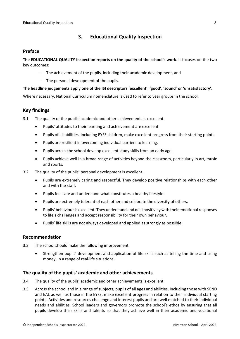## <span id="page-7-0"></span>**3. Educational Quality Inspection**

### <span id="page-7-1"></span>**Preface**

**The EDUCATIONAL QUALITY inspection reports on the quality of the school's work**. It focuses on the two key outcomes:

- The achievement of the pupils, including their academic development, and
- The personal development of the pupils.

#### **The headline judgements apply one of the ISI descriptors 'excellent', 'good', 'sound' or 'unsatisfactory'.**

Where necessary, National Curriculum nomenclature is used to refer to year groups in the school.

## <span id="page-7-2"></span>**Key findings**

3.1 The quality of the pupils' academic and other achievements is excellent.

- Pupils' attitudes to their learning and achievement are excellent.
- Pupils of all abilities, including EYFS children, make excellent progress from their starting points.
- Pupils are resilient in overcoming individual barriers to learning.
- Pupils across the school develop excellent study skills from an early age.
- Pupils achieve well in a broad range of activities beyond the classroom, particularly in art, music and sports.
- 3.2 The quality of the pupils' personal development is excellent.
	- Pupils are extremely caring and respectful. They develop positive relationships with each other and with the staff.
	- Pupils feel safe and understand what constitutes a healthy lifestyle.
	- Pupils are extremely tolerant of each other and celebrate the diversity of others.
	- Pupils' behaviour is excellent. They understand and deal positively with their emotional responses to life's challenges and accept responsibility for their own behaviour.
	- Pupils' life skills are not always developed and applied as strongly as possible.

#### <span id="page-7-3"></span>**Recommendation**

- 3.3 The school should make the following improvement.
	- Strengthen pupils' development and application of life skills such as telling the time and using money, in a range of real-life situations.

## <span id="page-7-4"></span>**The quality of the pupils' academic and other achievements**

- 3.4 The quality of the pupils' academic and other achievements is excellent.
- 3.5 Across the school and in a range of subjects, pupils of all ages and abilities, including those with SEND and EAL as well as those in the EYFS, make excellent progress in relation to their individual starting points. Activities and resources challenge and interest pupils and are well matched to their individual needs and abilities. School leaders and governors promote the school's ethos by ensuring that all pupils develop their skills and talents so that they achieve well in their academic and vocational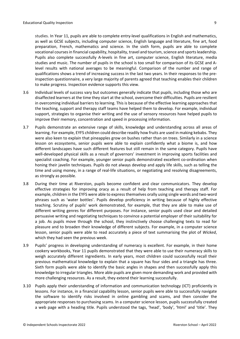studies. In Year 11, pupils are able to complete entry-level qualifications in English and mathematics, as well as GCSE subjects, including computer science, English language and literature, fine art, food preparation, French, mathematics and science. In the sixth form, pupils are able to complete vocational courses in financial capability, hospitality, travel and tourism, science and sports leadership. Pupils also complete successfully A-levels in fine art, computer science, English literature, media studies and music. The number of pupils in the school is too small for comparison of its GCSE and Alevel results with national averages to be meaningful. Comparison of the number and range of qualifications shows a trend of increasing success in the last two years. In their responses to the preinspection questionnaire, a very large majority of parents agreed that teaching enables their children to make progress. Inspection evidence supports this view.

- 3.6 Individual levels of success vary but outcomes generally indicate that pupils, including those who are disaffected learners at the time they start at the school, overcome their difficulties. Pupils are resilient in overcoming individual barriers to learning. This is because of the effective learning approaches that the teaching, support and therapy staff teams have helped them to develop. For example, individual support, strategies to organise their writing and the use of sensory resources have helped pupils to improve their memory, concentration and speed in processing information.
- 3.7 Pupils demonstrate an extensive range of skills, knowledge and understanding across all areas of learning. For example, EYFS children could describe readily how fruits are used in making kebabs. They were also keen to explain that pineapples grow on bushes rather than on trees. Similarly in a science lesson on ecosystems, senior pupils were able to explain confidently what a biome is, and how different landscapes have such different features but still remain in the same category. Pupils have well-developed physical skills as a result of governors' investment in improving sports facilities and specialist coaching. For example, younger senior pupils demonstrated excellent co-ordination when honing their javelin techniques. Pupils do not always develop and apply life skills, such as telling the time and using money, in a range of real-life situations, or negotiating and resolving disagreements, as strongly as possible.
- 3.8 During their time at Riverston, pupils become confident and clear communicators. They develop effective strategies for improving oracy as a result of help from teaching and therapy staff. For example, children in the EYFS were able to expressthemselves orally using single words and two-word phrases such as 'water bottles'. Pupils develop proficiency in writing because of highly effective teaching. Scrutiny of pupils' work demonstrated, for example, that they are able to make use of different writing genres for different purposes. For instance, senior pupils used clear and detailed persuasive writing and negotiating techniques to convince a potential employer of their suitability for a job. As pupils move through the school, they instinctively choose challenging texts to read for pleasure and to broaden their knowledge of different subjects. For example, in a computer science lesson, senior pupils were able to read accurately a piece of text summarising the plot of *Wicked*, which they had seen the previous week.
- 3.9 Pupils' progress in developing understanding of numeracy is excellent. For example, in their home cookery workbooks, Year 11 pupils demonstrated that they were able to use their numeracy skills to weigh accurately different ingredients. In early years, most children could successfully recall their previous mathematical knowledge to explain that a square has four sides and a triangle has three. Sixth form pupils were able to identify the basic angles in shapes and then successfully apply this knowledge to irregular triangles. More able pupils are given more demanding work and provided with more challenging resources. As a result, they extend their learning successfully.
- 3.10 Pupils apply their understanding of information and communication technology (ICT) proficiently in lessons. For instance, in a financial capability lesson, senior pupils were able to successfully navigate the software to identify risks involved in online gambling and scams, and then consider the appropriate responses to purchasing scams. In a computer science lesson, pupils successfully created a web page with a heading title. Pupils understood the tags, 'head', 'body', 'html' and 'title'. They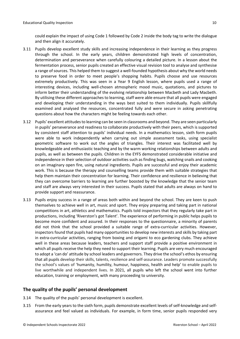could explain the impact of using Code 1 followed by Code 2 inside the body tag to write the dialogue and then align it accurately.

- 3.11 Pupils develop excellent study skills and increasing independence in their learning as they progress through the school. In the early years, children demonstrated high levels of concentration, determination and perseverance when carefully colouring a detailed picture. In a lesson about the fermentation process, senior pupils created an effective visual revision tool to analyse and synthesise a range of sources. This helped them to suggest a well-founded hypothesis about why the world needs to preserve food in order to meet people's shopping habits. Pupils choose and use resources extremely productively. This was seen in a Year 9 English lesson, where pupils used a range of interesting devices, including well-chosen atmospheric mood music, quotations, and pictures to inform better their understanding of the evolving relationship between Macbeth and Lady Macbeth. By utilising these different approaches to learning, staff were able ensure that all pupils were engaged and developing their understanding in the ways best suited to them individually. Pupils skillfully examined and analysed the resources, concentrated fully and were secure in asking penetrating questions about how the characters might be feeling towards each other.
- 3.12 Pupils' excellent attitudesto learning can be seen in classrooms and beyond. They are seen particularly in pupils' perseverance and readiness to collaborate productively with their peers, which is supported by consistent staff attention to pupils' individual needs. In a mathematics lesson, sixth form pupils were able to work independently when carrying out simple assessment tasks, using specialist geometric software to work out the angles of triangles. Their interest was facilitated well by knowledgeable and enthusiastic teaching and by the warm working relationships between adults and pupils, as well as between the pupils. Children in the EYFS demonstrated considerable initiative and independence in their selection of outdoor activities such as finding bugs, watching snails and cooking on an imaginary open fire, using natural ingredients. Pupils are successful and enjoy their academic work. This is because the therapy and counselling teams provide them with suitable strategies that help them maintain their concentration for learning. Their confidence and resilience in believing that they can overcome barriers to learning are further boosted by the knowledge that the senior team and staff are always very interested in their success. Pupils stated that adults are always on hand to provide support and reassurance.
- 3.13 Pupils enjoy success in a range of areas both within and beyond the school. They are keen to push themselves to achieve well in art, music and sport. They enjoy preparing and taking part in national competitions in art, athletics and mathematics. Pupils told inspectors that they regularly take part in productions, including 'Riverston's got Talent'. The experience of performing in public helps pupils to become more confident and assured. In their responses to the questionnaire, a minority of parents did not think that the school provided a suitable range of extra-curricular activities. However, inspectors found that pupils had many opportunities to develop new interests and skills by taking part in extra-curricular activities, ranging from boxing and origami to eco gardening clubs. They achieve well in these areas because leaders, teachers and support staff provide a positive environment in which all pupils receive the help they need to support their learning. Pupils are very much encouraged to adopt a 'can do' attitude by school leaders and governors. They drive the school's ethos by ensuring that all pupils develop their skills, talents, resilience and self-assurance. Leaders promote successfully the school's values of 'humanity, humility, humour, happiness, health and help' to enable pupils to live worthwhile and independent lives. In 2021, all pupils who left the school went into further education, training or employment, with many proceeding to university.

## <span id="page-9-0"></span>**The quality of the pupils' personal development**

- 3.14 The quality of the pupils' personal development is excellent.
- 3.15 From the early years to the sixth form, pupils demonstrate excellent levels of self-knowledge and selfassurance and feel valued as individuals. For example, in form time, senior pupils responded very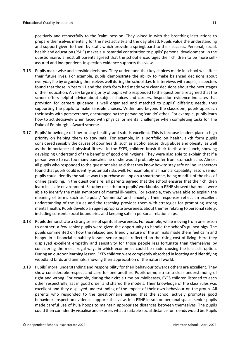positively and respectfully to the 'calm' session. They joined in with the breathing instructions to prepare themselves mentally for the next activity and the day ahead. Pupils value the understanding and support given to them by staff, which provide a springboard to their success. Personal, social, health and education (PSHE) makes a substantial contribution to pupils' personal development. In the questionnaire, almost all parents agreed that the school encourages their children to be more selfassured and independent. Inspection evidence supports this view.

- 3.16 Pupils make wise and sensible decisions. They understand that key choices made in school will affect their future lives. For example, pupils demonstrate the ability to make balanced decisions about everyday life by organising themselves well during the school day. In interviews with pupils, inspectors found that those in Years 11 and the sixth form had made very clear decisions about the next stages of their education. A very large majority of pupils who responded to the questionnaire agreed that the school offers helpful advice about subject choices and careers. Inspection evidence indicates that provision for careers guidance is well organised and matched to pupils' differing needs, thus supporting the pupils to make sensible choices. Within and beyond the classroom, pupils approach their tasks with perseverance, encouraged by the pervading 'can do' ethos. For example, pupils learn how to act decisively when faced with physical or mental challenges when completing tasks for The Duke of Edinburgh's Award scheme.
- 3.17 Pupils' knowledge of how to stay healthy and safe is excellent. This is because leaders place a high priority on helping them to stay safe. For example, in a portfolio on health, sixth form pupils considered sensibly the causes of poor health, such as alcohol abuse, drug abuse and obesity, as well as the importance of physical fitness. In the EYFS, children brush their teeth after lunch, showing developing understand of the benefits of good oral hygiene. They were also able to explain that if a person were to eat too many pancakes he or she would probably suffer from stomach ache. Almost all pupils who responded to the questionnaire said that they know how to stay safe online. Inspectors found that pupils could identify potential risks well. For example, in a financial capability lesson, senior pupils could identify the safest way to purchase an app on a smartphone, being mindful of the risks of online gambling. In the questionnaire, all parents agreed that the school ensures that their children learn in a safe environment. Scrutiny of sixth form pupils' workbooks in PSHE showed that most were able to identify the main symptoms of mental ill-health. For example, they were able to explain the meaning of terms such as 'bipolar,' 'dementia' and 'anxiety'. Their responses reflect an excellent understanding of the issues and the teaching provides them with strategies for promoting strong mental health. Pupils develop an age-appropriate awareness about themesrelating to personalsafety, including consent, social boundaries and keeping safe in personal relationships.
- 3.18 Pupils demonstrate a strong sense of spiritual awareness. For example, while moving from one lesson to another, a few senior pupils were given the opportunity to handle the school's guinea pigs. The pupils commented on how the relaxed and friendly nature of the animals made them feel calm and happy. In a financial capability lesson, senior pupils reflected on the rising cost of living. Here they displayed excellent empathy and sensitivity for those people less fortunate than themselves by considering the most frugal ways in which economies could be made causing the least disruption. During an outdoor learning lesson, EYFS children were completely absorbed in locating and identifying woodland birds and animals, showing their appreciation of the natural world.
- 3.19 Pupils' moral understanding and responsibility for their behaviour towards others are excellent. They show considerable respect and care for one another. Pupils demonstrate a clear understanding of right and wrong. For example, during their circle time on minibeasts, EYFS children listened to each other respectfully, sat in good order and shared the models. Their knowledge of the class rules was excellent and they displayed understanding of the impact of their own behaviour on the group. All parents who responded to the questionnaire agreed that the school actively promotes good behaviour. Inspection evidence supports this view. In a PSHE lesson on personal space, senior pupils made careful use of hula hoops to maintain appropriate distances between themselves. The pupils could then confidently visualise and express what a suitable social distance for friends would be. Pupils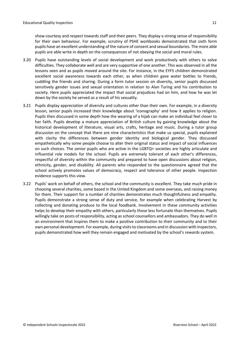show courtesy and respect towards staff and their peers. They display a strong sense of responsibility for their own behaviour. For example, scrutiny of PSHE workbooks demonstrated that sixth form pupils have an excellent understanding of the nature of consent and sexual boundaries. The more able pupils are able write in depth on the consequences of not obeying the social and moral rules.

- 3.20 Pupils have outstanding levels of social development and work productively with others to solve difficulties. They collaborate well and are very supportive of one another. This was observed in all the lessons seen and as pupils moved around the site. For instance, in the EYFS children demonstrated excellent social awareness towards each other, as when children gave water bottles to friends, cuddling the friends and sharing. During a form tutor session on diversity, senior pupils discussed sensitively gender issues and sexual orientation in relation to Alan Turing and his contribution to society. Here pupils appreciated the impact that social prejudices had on him, and how he was let down by the society he served as a result of his sexuality.
- 3.21 Pupils display appreciation of diversity and cultures other than their own. For example, in a diversity lesson, senior pupils increased their knowledge about 'iconography' and how it applies to religion. Pupils then discussed in some depth how the wearing of a hijab can make an individual feel closer to her faith. Pupils develop a mature appreciation of British culture by gaining knowledge about the historical development of literature, visual arts, crafts, heritage and music. During a tutor group discussion on the concept that there are nine characteristics that make us special, pupils explained with clarity the differences between gender identity and biological gender. They discussed empathetically why some people choose to alter their original status and impact of social influences on such choices. The senior pupils who are active in the LGBTQ+ societies are highly articulate and influential role models for the school. Pupils are extremely tolerant of each other's differences, respectful of diversity within the community and prepared to have open discussions about religion, ethnicity, gender, and disability. All parents who responded to the questionnaire agreed that the school actively promotes values of democracy, respect and tolerance of other people. Inspection evidence supports this view.
- 3.22 Pupils' work on behalf of others, the school and the community is excellent. They take much pride in choosing several charities, some based in the United Kingdom and some overseas, and raising money for them. Their support for a number of charities demonstrates much thoughtfulness and empathy. Pupils demonstrate a strong sense of duty and service, for example when celebrating Harvest by collecting and donating produce to the local foodbank. Involvement in these community activities helps to develop their empathy with others, particularly those less fortunate than themselves. Pupils willingly take on posts of responsibility, acting as school counsellors and ambassadors. They do well in an environment that inspires them to make a positive contribution to their community and to their own personal development. For example, during visitsto classrooms and in discussion with inspectors, pupils demonstrated how well they remain engaged and motivated by the school's rewards system.